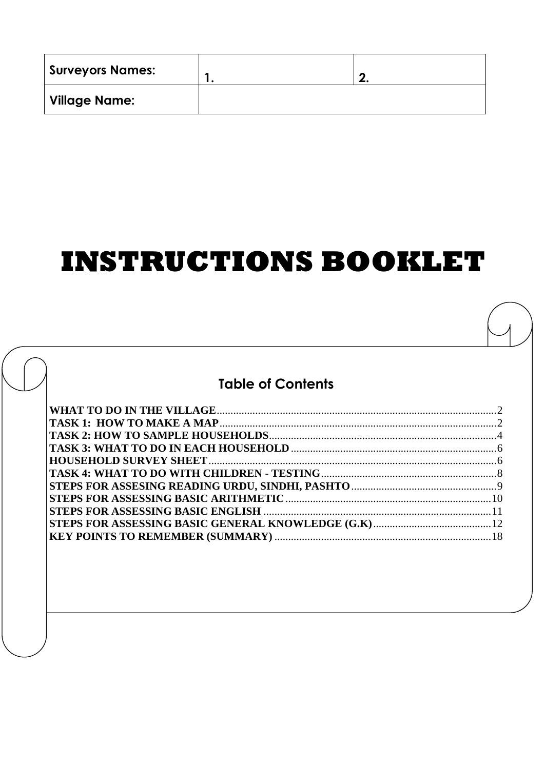| Surveyors Names: | G |
|------------------|---|
| Village Name:    |   |

# **INSTRUCTIONS BOOKLET**

# **Table of Contents**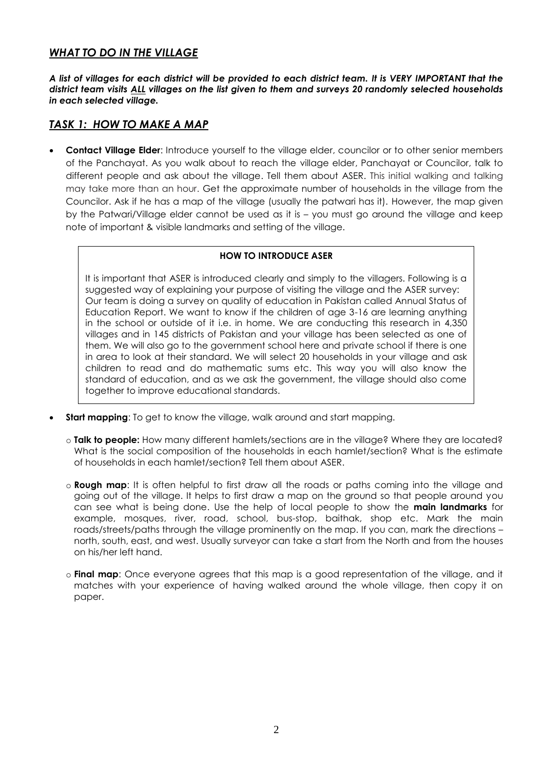## <span id="page-1-0"></span>*WHAT TO DO IN THE VILLAGE*

*A list of villages for each district will be provided to each district team. It is VERY IMPORTANT that the district team visits ALL villages on the list given to them and surveys 20 randomly selected households in each selected village.*

## <span id="page-1-1"></span>*TASK 1: HOW TO MAKE A MAP*

 **Contact Village Elder**: Introduce yourself to the village elder, councilor or to other senior members of the Panchayat. As you walk about to reach the village elder, Panchayat or Councilor, talk to different people and ask about the village. Tell them about ASER. This initial walking and talking may take more than an hour. Get the approximate number of households in the village from the Councilor. Ask if he has a map of the village (usually the patwari has it). However, the map given by the Patwari/Village elder cannot be used as it is – you must go around the village and keep note of important & visible landmarks and setting of the village.

### **HOW TO INTRODUCE ASER**

It is important that ASER is introduced clearly and simply to the villagers. Following is a suggested way of explaining your purpose of visiting the village and the ASER survey: Our team is doing a survey on quality of education in Pakistan called Annual Status of Education Report. We want to know if the children of age 3-16 are learning anything in the school or outside of it i.e. in home. We are conducting this research in 4,350 villages and in 145 districts of Pakistan and your village has been selected as one of them. We will also go to the government school here and private school if there is one in area to look at their standard. We will select 20 households in your village and ask children to read and do mathematic sums etc. This way you will also know the standard of education, and as we ask the government, the village should also come together to improve educational standards.

- **Start mapping**: To get to know the village, walk around and start mapping.
	- o **Talk to people:** How many different hamlets/sections are in the village? Where they are located? What is the social composition of the households in each hamlet/section? What is the estimate of households in each hamlet/section? Tell them about ASER.
	- o **Rough map**: It is often helpful to first draw all the roads or paths coming into the village and going out of the village. It helps to first draw a map on the ground so that people around you can see what is being done. Use the help of local people to show the **main landmarks** for example, mosques, river, road, school, bus-stop, baithak, shop etc. Mark the main roads/streets/paths through the village prominently on the map. If you can, mark the directions – north, south, east, and west. Usually surveyor can take a start from the North and from the houses on his/her left hand.
	- o **Final map**: Once everyone agrees that this map is a good representation of the village, and it matches with your experience of having walked around the whole village, then copy it on paper.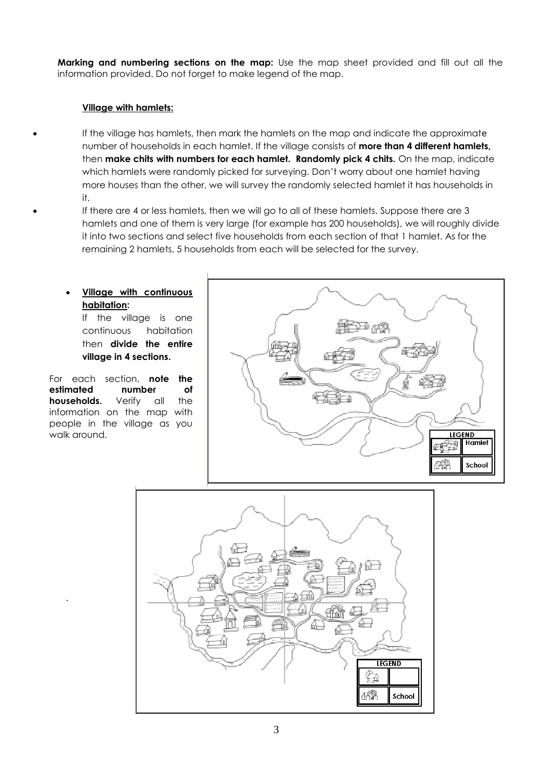**Marking and numbering sections on the map:** Use the map sheet provided and fill out all the information provided. Do not forget to make legend of the map.

## **Village with hamlets:**

 If the village has hamlets, then mark the hamlets on the map and indicate the approximate number of households in each hamlet. If the village consists of **more than 4 different hamlets,**  then **make chits with numbers for each hamlet. Randomly pick 4 chits.** On the map, indicate which hamlets were randomly picked for surveying. Don't worry about one hamlet having more houses than the other, we will survey the randomly selected hamlet it has households in it.

 If there are 4 or less hamlets, then we will go to all of these hamlets. Suppose there are 3 hamlets and one of them is very large (for example has 200 households), we will roughly divide it into two sections and select five households from each section of that 1 hamlet. As for the remaining 2 hamlets, 5 households from each will be selected for the survey.

# **Village with continuous habitation:**

If the village is one continuous habitation then **divide the entire village in 4 sections.**

For each section, **note the estimated number of households.** Verify all the information on the map with people in the village as you walk around.

.



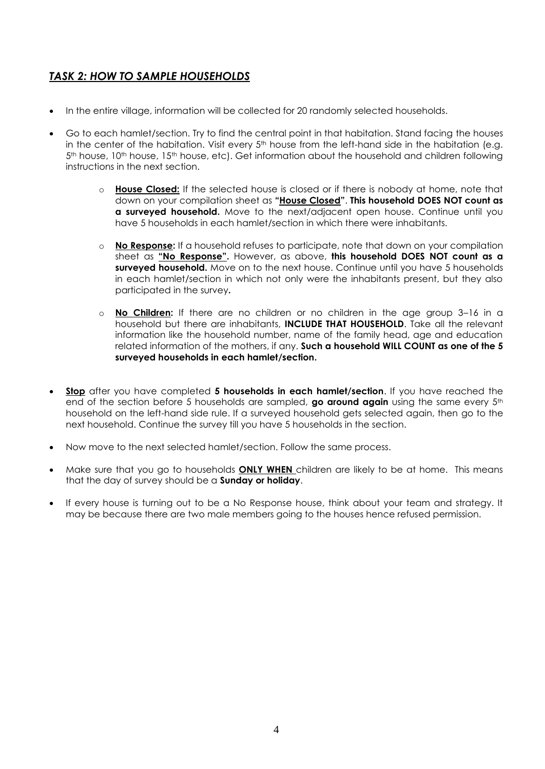# <span id="page-3-0"></span>*TASK 2: HOW TO SAMPLE HOUSEHOLDS*

- In the entire village, information will be collected for 20 randomly selected households.
- Go to each hamlet/section. Try to find the central point in that habitation. Stand facing the houses in the center of the habitation. Visit every 5<sup>th</sup> house from the left-hand side in the habitation (e.g. 5<sup>th</sup> house, 10<sup>th</sup> house, 15<sup>th</sup> house, etc). Get information about the household and children following instructions in the next section.
	- o **House Closed:** If the selected house is closed or if there is nobody at home, note that down on your compilation sheet as **"House Closed"**. **This household DOES NOT count as a surveyed household.** Move to the next/adjacent open house. Continue until you have 5 households in each hamlet/section in which there were inhabitants.
	- o **No Response:** If a household refuses to participate, note that down on your compilation sheet as **"No Response".** However, as above, **this household DOES NOT count as a surveyed household.** Move on to the next house. Continue until you have 5 households in each hamlet/section in which not only were the inhabitants present, but they also participated in the survey**.**
	- o **No Children:** If there are no children or no children in the age group 3–16 in a household but there are inhabitants, **INCLUDE THAT HOUSEHOLD**. Take all the relevant information like the household number, name of the family head, age and education related information of the mothers, if any. **Such a household WILL COUNT as one of the 5 surveyed households in each hamlet/section.**
- **Stop** after you have completed **5 households in each hamlet/section**. If you have reached the end of the section before 5 households are sampled, **go around again** using the same every 5<sup>th</sup> household on the left-hand side rule. If a surveyed household gets selected again, then go to the next household. Continue the survey till you have 5 households in the section.
- Now move to the next selected hamlet/section. Follow the same process.
- Make sure that you go to households **ONLY WHEN** children are likely to be at home. This means that the day of survey should be a **Sunday or holiday**.
- If every house is turning out to be a No Response house, think about your team and strategy. It may be because there are two male members going to the houses hence refused permission.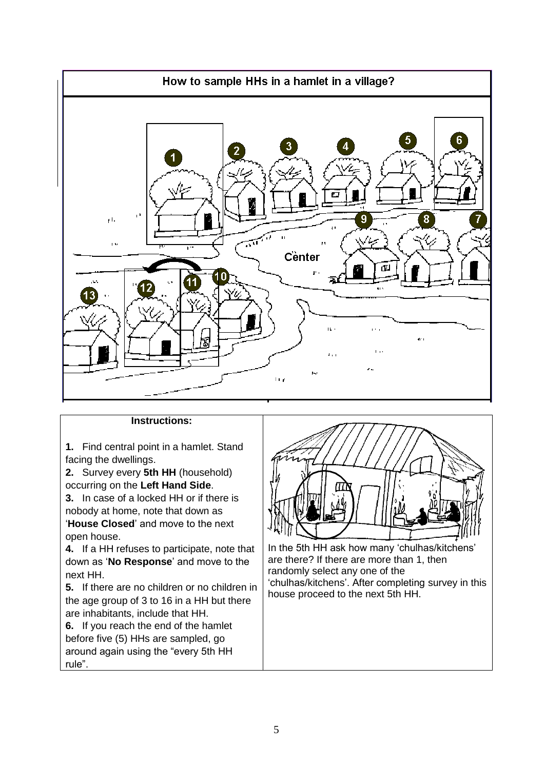

### **Instructions:**

**1.** Find central point in a hamlet. Stand facing the dwellings.

**2.** Survey every **5th HH** (household) occurring on the **Left Hand Side**.

**3.** In case of a locked HH or if there is nobody at home, note that down as '**House Closed**' and move to the next open house.

**4.** If a HH refuses to participate, note that down as '**No Response**' and move to the next HH.

**5.** If there are no children or no children in the age group of 3 to 16 in a HH but there are inhabitants, include that HH.

**6.** If you reach the end of the hamlet before five (5) HHs are sampled, go around again using the "every 5th HH rule".



In the 5th HH ask how many 'chulhas/kitchens' are there? If there are more than 1, then randomly select any one of the 'chulhas/kitchens'. After completing survey in this house proceed to the next 5th HH.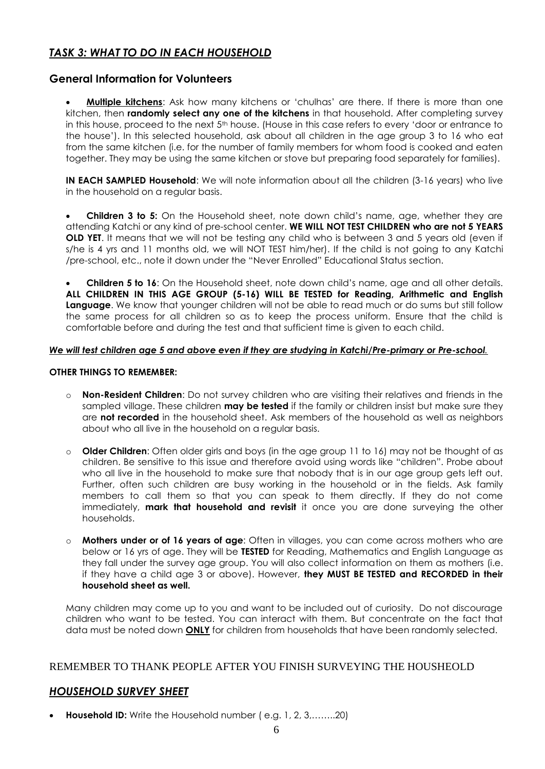# <span id="page-5-0"></span>*TASK 3: WHAT TO DO IN EACH HOUSEHOLD*

## **General Information for Volunteers**

 **Multiple kitchens**: Ask how many kitchens or 'chulhas' are there. If there is more than one kitchen, then **randomly select any one of the kitchens** in that household. After completing survey in this house, proceed to the next 5<sup>th</sup> house. (House in this case refers to every 'door or entrance to the house'). In this selected household, ask about all children in the age group 3 to 16 who eat from the same kitchen (i.e. for the number of family members for whom food is cooked and eaten together. They may be using the same kitchen or stove but preparing food separately for families).

**IN EACH SAMPLED Household:** We will note information about all the children (3-16 years) who live in the household on a regular basis.

 **Children 3 to 5:** On the Household sheet, note down child's name, age, whether they are attending Katchi or any kind of pre-school center. **WE WILL NOT TEST CHILDREN who are not 5 YEARS OLD YET**. It means that we will not be testing any child who is between 3 and 5 years old (even if s/he is 4 yrs and 11 months old, we will NOT TEST him/her). If the child is not going to any Katchi /pre-school, etc., note it down under the "Never Enrolled" Educational Status section.

 **Children 5 to 16**: On the Household sheet, note down child's name, age and all other details. **ALL CHILDREN IN THIS AGE GROUP (5-16) WILL BE TESTED for Reading, Arithmetic and English Language**. We know that younger children will not be able to read much or do sums but still follow the same process for all children so as to keep the process uniform. Ensure that the child is comfortable before and during the test and that sufficient time is given to each child.

#### *We will test children age 5 and above even if they are studying in Katchi/Pre-primary or Pre-school.*

#### **OTHER THINGS TO REMEMBER:**

- o **Non-Resident Children**: Do not survey children who are visiting their relatives and friends in the sampled village. These children **may be tested** if the family or children insist but make sure they are **not recorded** in the household sheet. Ask members of the household as well as neighbors about who all live in the household on a regular basis.
- o **Older Children**: Often older girls and boys (in the age group 11 to 16) may not be thought of as children. Be sensitive to this issue and therefore avoid using words like "children". Probe about who all live in the household to make sure that nobody that is in our age group gets left out. Further, often such children are busy working in the household or in the fields. Ask family members to call them so that you can speak to them directly. If they do not come immediately, **mark that household and revisit** it once you are done surveying the other households.
- o **Mothers under or of 16 years of age**: Often in villages, you can come across mothers who are below or 16 yrs of age. They will be **TESTED** for Reading, Mathematics and English Language as they fall under the survey age group. You will also collect information on them as mothers (i.e. if they have a child age 3 or above). However, **they MUST BE TESTED and RECORDED in their household sheet as well.**

Many children may come up to you and want to be included out of curiosity. Do not discourage children who want to be tested. You can interact with them. But concentrate on the fact that data must be noted down **ONLY** for children from households that have been randomly selected.

## REMEMBER TO THANK PEOPLE AFTER YOU FINISH SURVEYING THE HOUSHEOLD

## <span id="page-5-1"></span>*HOUSEHOLD SURVEY SHEET*

**Household ID:** Write the Household number (e.g. 1, 2, 3,........20)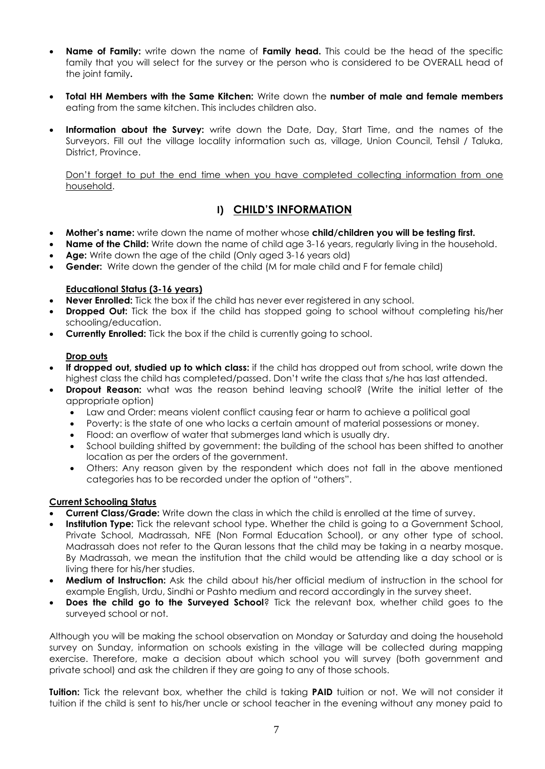- **Name of Family:** write down the name of **Family head.** This could be the head of the specific family that you will select for the survey or the person who is considered to be OVERALL head of the joint family**.**
- **Total HH Members with the Same Kitchen:** Write down the **number of male and female members**  eating from the same kitchen. This includes children also.
- **Information about the Survey:** write down the Date, Day, Start Time, and the names of the Surveyors. Fill out the village locality information such as, village, Union Council, Tehsil / Taluka, District, Province.

Don't forget to put the end time when you have completed collecting information from one household.

## **I) CHILD'S INFORMATION**

- **Mother's name:** write down the name of mother whose **child/children you will be testing first.**
- **Name of the Child:** Write down the name of child age 3-16 years, regularly living in the household.
- Age: Write down the age of the child (Only aged 3-16 years old)
- **Gender:** Write down the gender of the child (M for male child and F for female child)

#### **Educational Status (3-16 years)**

- **Never Enrolled:** Tick the box if the child has never ever registered in any school.
- **Dropped Out:** Tick the box if the child has stopped going to school without completing his/her schooling/education.
- **Currently Enrolled:** Tick the box if the child is currently going to school.

#### **Drop outs**

- **If dropped out, studied up to which class:** if the child has dropped out from school, write down the highest class the child has completed/passed. Don't write the class that s/he has last attended.
- **Dropout Reason:** what was the reason behind leaving school? (Write the initial letter of the appropriate option)
	- Law and Order: means violent conflict causing fear or harm to achieve a political goal
	- Poverty: is the state of one who lacks a certain amount of material possessions or money.
	- Flood: an overflow of water that submerges land which is usually dry.
	- School building shifted by government: the building of the school has been shifted to another location as per the orders of the government.
	- Others: Any reason given by the respondent which does not fall in the above mentioned categories has to be recorded under the option of "others".

#### **Current Schooling Status**

- **Current Class/Grade:** Write down the class in which the child is enrolled at the time of survey.
- **Institution Type:** Tick the relevant school type. Whether the child is going to a Government School, Private School, Madrassah, NFE (Non Formal Education School), or any other type of school. Madrassah does not refer to the Quran lessons that the child may be taking in a nearby mosque. By Madrassah, we mean the institution that the child would be attending like a day school or is living there for his/her studies.
- **Medium of Instruction:** Ask the child about his/her official medium of instruction in the school for example English, Urdu, Sindhi or Pashto medium and record accordingly in the survey sheet.
- **Does the child go to the Surveyed School**? Tick the relevant box, whether child goes to the surveyed school or not.

Although you will be making the school observation on Monday or Saturday and doing the household survey on Sunday, information on schools existing in the village will be collected during mapping exercise. Therefore, make a decision about which school you will survey (both government and private school) and ask the children if they are going to any of those schools.

**Tuition:** Tick the relevant box, whether the child is taking **PAID** tuition or not. We will not consider it tuition if the child is sent to his/her uncle or school teacher in the evening without any money paid to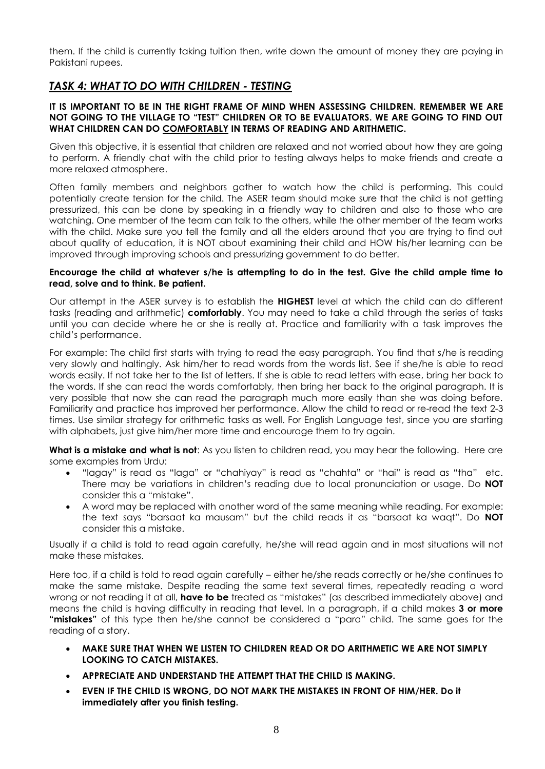them. If the child is currently taking tuition then, write down the amount of money they are paying in Pakistani rupees.

## <span id="page-7-0"></span>*TASK 4: WHAT TO DO WITH CHILDREN - TESTING*

#### **IT IS IMPORTANT TO BE IN THE RIGHT FRAME OF MIND WHEN ASSESSING CHILDREN. REMEMBER WE ARE NOT GOING TO THE VILLAGE TO "TEST" CHILDREN OR TO BE EVALUATORS. WE ARE GOING TO FIND OUT WHAT CHILDREN CAN DO COMFORTABLY IN TERMS OF READING AND ARITHMETIC.**

Given this objective, it is essential that children are relaxed and not worried about how they are going to perform. A friendly chat with the child prior to testing always helps to make friends and create a more relaxed atmosphere.

Often family members and neighbors gather to watch how the child is performing. This could potentially create tension for the child. The ASER team should make sure that the child is not getting pressurized, this can be done by speaking in a friendly way to children and also to those who are watching. One member of the team can talk to the others, while the other member of the team works with the child. Make sure you tell the family and all the elders around that you are trying to find out about quality of education, it is NOT about examining their child and HOW his/her learning can be improved through improving schools and pressurizing government to do better.

#### **Encourage the child at whatever s/he is attempting to do in the test. Give the child ample time to read, solve and to think. Be patient.**

Our attempt in the ASER survey is to establish the **HIGHEST** level at which the child can do different tasks (reading and arithmetic) **comfortably**. You may need to take a child through the series of tasks until you can decide where he or she is really at. Practice and familiarity with a task improves the child's performance.

For example: The child first starts with trying to read the easy paragraph. You find that s/he is reading very slowly and haltingly. Ask him/her to read words from the words list. See if she/he is able to read words easily. If not take her to the list of letters. If she is able to read letters with ease, bring her back to the words. If she can read the words comfortably, then bring her back to the original paragraph. It is very possible that now she can read the paragraph much more easily than she was doing before. Familiarity and practice has improved her performance. Allow the child to read or re-read the text 2-3 times. Use similar strategy for arithmetic tasks as well. For English Language test, since you are starting with alphabets, just give him/her more time and encourage them to try again.

**What is a mistake and what is not**: As you listen to children read, you may hear the following. Here are some examples from Urdu:

- "lagay" is read as "laga" or "chahiyay" is read as "chahta" or "hai" is read as "tha" etc. There may be variations in children's reading due to local pronunciation or usage. Do **NOT** consider this a "mistake".
- A word may be replaced with another word of the same meaning while reading. For example: the text says "barsaat ka mausam" but the child reads it as "barsaat ka waqt". Do **NOT** consider this a mistake.

Usually if a child is told to read again carefully, he/she will read again and in most situations will not make these mistakes.

Here too, if a child is told to read again carefully – either he/she reads correctly or he/she continues to make the same mistake. Despite reading the same text several times, repeatedly reading a word wrong or not reading it at all, **have to be** treated as "mistakes" (as described immediately above) and means the child is having difficulty in reading that level. In a paragraph, if a child makes **3 or more "mistakes"** of this type then he/she cannot be considered a "para" child. The same goes for the reading of a story.

- **MAKE SURE THAT WHEN WE LISTEN TO CHILDREN READ OR DO ARITHMETIC WE ARE NOT SIMPLY LOOKING TO CATCH MISTAKES.**
- **APPRECIATE AND UNDERSTAND THE ATTEMPT THAT THE CHILD IS MAKING.**
- **EVEN IF THE CHILD IS WRONG, DO NOT MARK THE MISTAKES IN FRONT OF HIM/HER. Do it immediately after you finish testing.**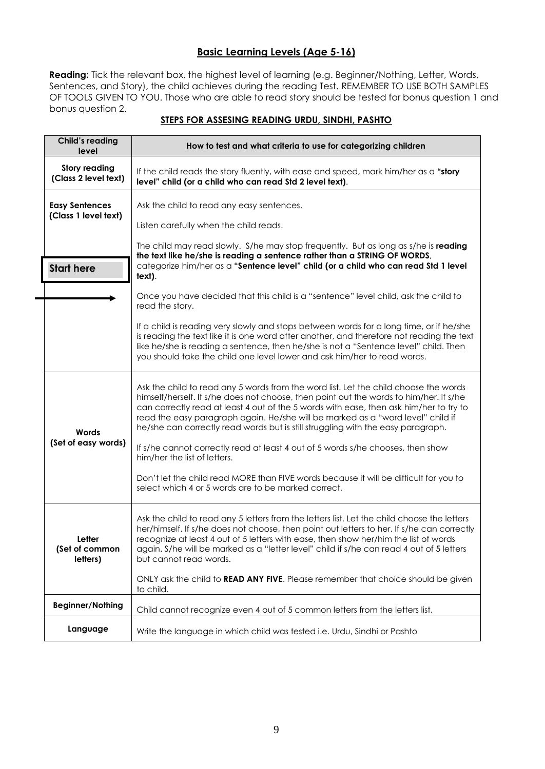## **Basic Learning Levels (Age 5-16)**

**Reading:** Tick the relevant box, the highest level of learning (e.g. Beginner/Nothing, Letter, Words, Sentences, and Story), the child achieves during the reading Test. REMEMBER TO USE BOTH SAMPLES OF TOOLS GIVEN TO YOU. Those who are able to read story should be tested for bonus question 1 and bonus question 2.

<span id="page-8-0"></span>

| <b>Child's reading</b><br>level              | How to test and what criteria to use for categorizing children                                                                                                                                                                                                                                                                                                                                                                                  |
|----------------------------------------------|-------------------------------------------------------------------------------------------------------------------------------------------------------------------------------------------------------------------------------------------------------------------------------------------------------------------------------------------------------------------------------------------------------------------------------------------------|
| <b>Story reading</b><br>(Class 2 level text) | If the child reads the story fluently, with ease and speed, mark him/her as a "story<br>level" child (or a child who can read Std 2 level text).                                                                                                                                                                                                                                                                                                |
| <b>Easy Sentences</b>                        | Ask the child to read any easy sentences.                                                                                                                                                                                                                                                                                                                                                                                                       |
| (Class 1 level text)                         | Listen carefully when the child reads.                                                                                                                                                                                                                                                                                                                                                                                                          |
|                                              | The child may read slowly. S/he may stop frequently. But as long as s/he is reading<br>the text like he/she is reading a sentence rather than a STRING OF WORDS,<br>categorize him/her as a "Sentence level" child (or a child who can read Std 1 level                                                                                                                                                                                         |
| <b>Start here</b>                            | text).                                                                                                                                                                                                                                                                                                                                                                                                                                          |
|                                              | Once you have decided that this child is a "sentence" level child, ask the child to<br>read the story.                                                                                                                                                                                                                                                                                                                                          |
|                                              | If a child is reading very slowly and stops between words for a long time, or if he/she<br>is reading the text like it is one word after another, and therefore not reading the text<br>like he/she is reading a sentence, then he/she is not a "Sentence level" child. Then<br>you should take the child one level lower and ask him/her to read words.                                                                                        |
| Words                                        | Ask the child to read any 5 words from the word list. Let the child choose the words<br>himself/herself. If s/he does not choose, then point out the words to him/her. If s/he<br>can correctly read at least 4 out of the 5 words with ease, then ask him/her to try to<br>read the easy paragraph again. He/she will be marked as a "word level" child if<br>he/she can correctly read words but is still struggling with the easy paragraph. |
| (Set of easy words)                          | If s/he cannot correctly read at least 4 out of 5 words s/he chooses, then show<br>him/her the list of letters.                                                                                                                                                                                                                                                                                                                                 |
|                                              | Don't let the child read MORE than FIVE words because it will be difficult for you to<br>select which 4 or 5 words are to be marked correct.                                                                                                                                                                                                                                                                                                    |
| Letter<br>(Set of common<br>letters)         | Ask the child to read any 5 letters from the letters list. Let the child choose the letters<br>her/himself. If s/he does not choose, then point out letters to her. If s/he can correctly<br>recognize at least 4 out of 5 letters with ease, then show her/him the list of words<br>again. S/he will be marked as a "letter level" child if s/he can read 4 out of 5 letters<br>but cannot read words.                                         |
|                                              | ONLY ask the child to READ ANY FIVE. Please remember that choice should be given<br>to child.                                                                                                                                                                                                                                                                                                                                                   |
| <b>Beginner/Nothing</b>                      | Child cannot recognize even 4 out of 5 common letters from the letters list.                                                                                                                                                                                                                                                                                                                                                                    |
| Language                                     | Write the language in which child was tested i.e. Urdu, Sindhi or Pashto                                                                                                                                                                                                                                                                                                                                                                        |

#### **STEPS FOR ASSESING READING URDU, SINDHI, PASHTO**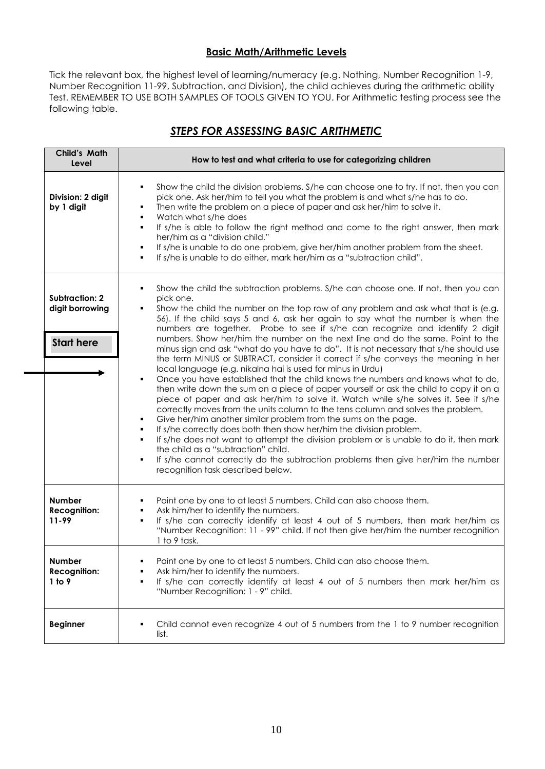## **Basic Math/Arithmetic Levels**

Tick the relevant box, the highest level of learning/numeracy (e.g. Nothing, Number Recognition 1-9, Number Recognition 11-99, Subtraction, and Division), the child achieves during the arithmetic ability Test. REMEMBER TO USE BOTH SAMPLES OF TOOLS GIVEN TO YOU. For Arithmetic testing process see the following table.

# *STEPS FOR ASSESSING BASIC ARITHMETIC*

<span id="page-9-0"></span>

| Child's Math<br>Level                                         | How to test and what criteria to use for categorizing children                                                                                                                                                                                                                                                                                                                                                                                                                                                                                                                                                                                                                                                                                                                                                                                                                                                                                                                                                                                                                                                                                                                                                                                                                                                                                                                                                                                                               |  |
|---------------------------------------------------------------|------------------------------------------------------------------------------------------------------------------------------------------------------------------------------------------------------------------------------------------------------------------------------------------------------------------------------------------------------------------------------------------------------------------------------------------------------------------------------------------------------------------------------------------------------------------------------------------------------------------------------------------------------------------------------------------------------------------------------------------------------------------------------------------------------------------------------------------------------------------------------------------------------------------------------------------------------------------------------------------------------------------------------------------------------------------------------------------------------------------------------------------------------------------------------------------------------------------------------------------------------------------------------------------------------------------------------------------------------------------------------------------------------------------------------------------------------------------------------|--|
| Division: 2 digit<br>by 1 digit                               | Show the child the division problems. S/he can choose one to try. If not, then you can<br>٠<br>pick one. Ask her/him to tell you what the problem is and what s/he has to do.<br>Then write the problem on a piece of paper and ask her/him to solve it.<br>٠<br>Watch what s/he does<br>٠<br>If s/he is able to follow the right method and come to the right answer, then mark<br>٠<br>her/him as a "division child."<br>If s/he is unable to do one problem, give her/him another problem from the sheet.<br>٠<br>If s/he is unable to do either, mark her/him as a "subtraction child".<br>٠                                                                                                                                                                                                                                                                                                                                                                                                                                                                                                                                                                                                                                                                                                                                                                                                                                                                             |  |
| <b>Subtraction: 2</b><br>digit borrowing<br><b>Start here</b> | Show the child the subtraction problems. S/he can choose one. If not, then you can<br>pick one.<br>Show the child the number on the top row of any problem and ask what that is (e.g.<br>٠<br>56). If the child says 5 and 6, ask her again to say what the number is when the<br>numbers are together. Probe to see if s/he can recognize and identify 2 digit<br>numbers. Show her/him the number on the next line and do the same. Point to the<br>minus sign and ask "what do you have to do". It is not necessary that s/he should use<br>the term MINUS or SUBTRACT, consider it correct if s/he conveys the meaning in her<br>local language (e.g. nikalna hai is used for minus in Urdu)<br>Once you have established that the child knows the numbers and knows what to do,<br>٠<br>then write down the sum on a piece of paper yourself or ask the child to copy it on a<br>piece of paper and ask her/him to solve it. Watch while s/he solves it. See if s/he<br>correctly moves from the units column to the tens column and solves the problem.<br>Give her/him another similar problem from the sums on the page.<br>If s/he correctly does both then show her/him the division problem.<br>If s/he does not want to attempt the division problem or is unable to do it, then mark<br>٠<br>the child as a "subtraction" child.<br>If s/he cannot correctly do the subtraction problems then give her/him the number<br>٠<br>recognition task described below. |  |
| <b>Number</b><br><b>Recognition:</b><br>11-99                 | Point one by one to at least 5 numbers. Child can also choose them.<br>Ask him/her to identify the numbers.<br>If s/he can correctly identify at least 4 out of 5 numbers, then mark her/him as<br>٠<br>"Number Recognition: 11 - 99" child. If not then give her/him the number recognition<br>1 to 9 task.                                                                                                                                                                                                                                                                                                                                                                                                                                                                                                                                                                                                                                                                                                                                                                                                                                                                                                                                                                                                                                                                                                                                                                 |  |
| <b>Number</b><br><b>Recognition:</b><br>1 to 9                | Point one by one to at least 5 numbers. Child can also choose them.<br>Ask him/her to identify the numbers.<br>If s/he can correctly identify at least 4 out of 5 numbers then mark her/him as<br>٠<br>"Number Recognition: 1 - 9" child.                                                                                                                                                                                                                                                                                                                                                                                                                                                                                                                                                                                                                                                                                                                                                                                                                                                                                                                                                                                                                                                                                                                                                                                                                                    |  |
| <b>Beginner</b>                                               | Child cannot even recognize 4 out of 5 numbers from the 1 to 9 number recognition<br>٠<br>list.                                                                                                                                                                                                                                                                                                                                                                                                                                                                                                                                                                                                                                                                                                                                                                                                                                                                                                                                                                                                                                                                                                                                                                                                                                                                                                                                                                              |  |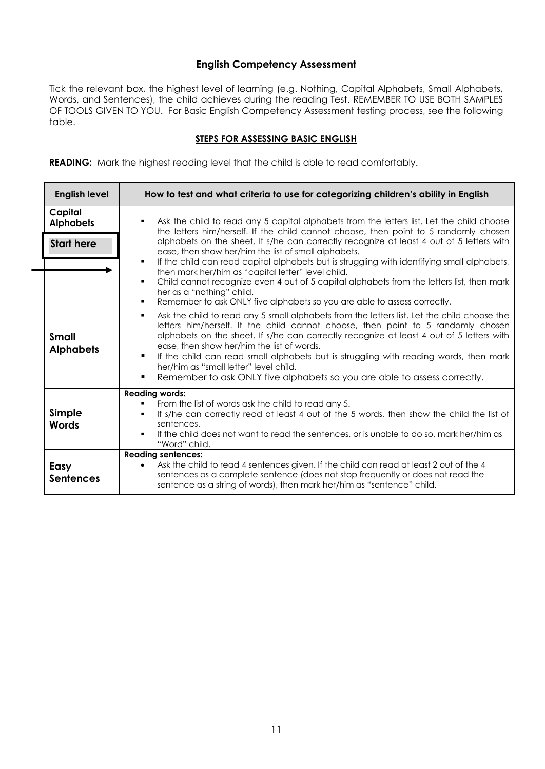## **English Competency Assessment**

Tick the relevant box, the highest level of learning (e.g. Nothing, Capital Alphabets, Small Alphabets, Words, and Sentences), the child achieves during the reading Test. REMEMBER TO USE BOTH SAMPLES OF TOOLS GIVEN TO YOU. For Basic English Competency Assessment testing process, see the following table.

#### **STEPS FOR ASSESSING BASIC ENGLISH**

<span id="page-10-0"></span>**READING:** Mark the highest reading level that the child is able to read comfortably.

| <b>English level</b>                             | How to test and what criteria to use for categorizing children's ability in English                                                                                                                                                                                                                                                                                                                                                                                                                                                                                                                                                                                                                                               |  |
|--------------------------------------------------|-----------------------------------------------------------------------------------------------------------------------------------------------------------------------------------------------------------------------------------------------------------------------------------------------------------------------------------------------------------------------------------------------------------------------------------------------------------------------------------------------------------------------------------------------------------------------------------------------------------------------------------------------------------------------------------------------------------------------------------|--|
| Capital<br><b>Alphabets</b><br><b>Start here</b> | Ask the child to read any 5 capital alphabets from the letters list. Let the child choose<br>$\blacksquare$<br>the letters him/herself. If the child cannot choose, then point to 5 randomly chosen<br>alphabets on the sheet. If s/he can correctly recognize at least 4 out of 5 letters with<br>ease, then show her/him the list of small alphabets.<br>If the child can read capital alphabets but is struggling with identifying small alphabets,<br>٠<br>then mark her/him as "capital letter" level child.<br>Child cannot recognize even 4 out of 5 capital alphabets from the letters list, then mark<br>٠<br>her as a "nothing" child.<br>Remember to ask ONLY five alphabets so you are able to assess correctly.<br>٠ |  |
| <b>Small</b><br><b>Alphabets</b>                 | Ask the child to read any 5 small alphabets from the letters list. Let the child choose the<br>٠<br>letters him/herself. If the child cannot choose, then point to 5 randomly chosen<br>alphabets on the sheet. If s/he can correctly recognize at least 4 out of 5 letters with<br>ease, then show her/him the list of words.<br>If the child can read small alphabets but is struggling with reading words, then mark<br>٠<br>her/him as "small letter" level child.<br>Remember to ask ONLY five alphabets so you are able to assess correctly.<br>$\blacksquare$                                                                                                                                                              |  |
| Simple<br>Words                                  | <b>Reading words:</b><br>From the list of words ask the child to read any 5.<br>If s/he can correctly read at least 4 out of the 5 words, then show the child the list of<br>$\blacksquare$<br>sentences.<br>If the child does not want to read the sentences, or is unable to do so, mark her/him as<br>"Word" child.                                                                                                                                                                                                                                                                                                                                                                                                            |  |
| Easy<br><b>Sentences</b>                         | <b>Reading sentences:</b><br>Ask the child to read 4 sentences given. If the child can read at least 2 out of the 4<br>$\bullet$<br>sentences as a complete sentence (does not stop frequently or does not read the<br>sentence as a string of words), then mark her/him as "sentence" child.                                                                                                                                                                                                                                                                                                                                                                                                                                     |  |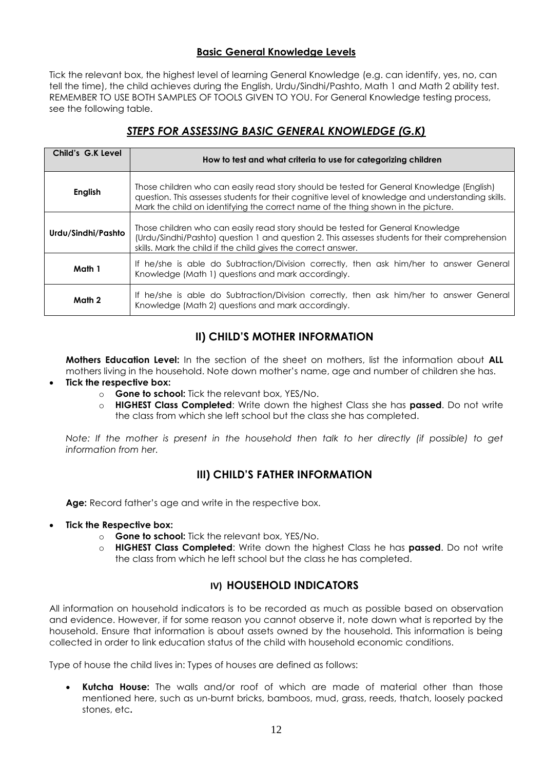## **Basic General Knowledge Levels**

Tick the relevant box, the highest level of learning General Knowledge (e.g. can identify, yes, no, can tell the time), the child achieves during the English, Urdu/Sindhi/Pashto, Math 1 and Math 2 ability test. REMEMBER TO USE BOTH SAMPLES OF TOOLS GIVEN TO YOU. For General Knowledge testing process, see the following table.

# *STEPS FOR ASSESSING BASIC GENERAL KNOWLEDGE (G.K)*

<span id="page-11-0"></span>

| Child's G.K Level  | How to test and what criteria to use for categorizing children                                                                                                                                                                                                                      |
|--------------------|-------------------------------------------------------------------------------------------------------------------------------------------------------------------------------------------------------------------------------------------------------------------------------------|
| <b>English</b>     | Those children who can easily read story should be tested for General Knowledge (English)<br>guestion. This assesses students for their cognitive level of knowledge and understanding skills.<br>Mark the child on identifying the correct name of the thing shown in the picture. |
| Urdu/Sindhi/Pashto | Those children who can easily read story should be tested for General Knowledge<br>(Urdu/Sindhi/Pashto) question 1 and question 2. This assesses students for their comprehension<br>skills. Mark the child if the child gives the correct answer.                                  |
| Math 1             | If he/she is able do Subtraction/Division correctly, then ask him/her to answer General<br>Knowledge (Math 1) questions and mark accordingly.                                                                                                                                       |
| Math 2             | If he/she is able do Subtraction/Division correctly, then ask him/her to answer General<br>Knowledge (Math 2) questions and mark accordingly.                                                                                                                                       |

# **II) CHILD'S MOTHER INFORMATION**

**Mothers Education Level:** In the section of the sheet on mothers, list the information about **ALL** mothers living in the household. Note down mother's name, age and number of children she has.

#### **Tick the respective box:**

- o **Gone to school:** Tick the relevant box, YES/No.
- o **HIGHEST Class Completed**: Write down the highest Class she has **passed**. Do not write the class from which she left school but the class she has completed.

*Note: If the mother is present in the household then talk to her directly (if possible) to get information from her.*

# **III) CHILD'S FATHER INFORMATION**

**Age:** Record father's age and write in the respective box.

- **Tick the Respective box:**
	-
	- o **Gone to school:** Tick the relevant box, YES/No.<br>
	o **HIGHEST Class Completed:** Write down the hi o **HIGHEST Class Completed**: Write down the highest Class he has **passed**. Do not write the class from which he left school but the class he has completed.

# **IV) HOUSEHOLD INDICATORS**

All information on household indicators is to be recorded as much as possible based on observation and evidence. However, if for some reason you cannot observe it, note down what is reported by the household. Ensure that information is about assets owned by the household. This information is being collected in order to link education status of the child with household economic conditions.

Type of house the child lives in: Types of houses are defined as follows:

 **Kutcha House:** The walls and/or roof of which are made of material other than those mentioned here, such as un-burnt bricks, bamboos, mud, grass, reeds, thatch, loosely packed stones, etc**.**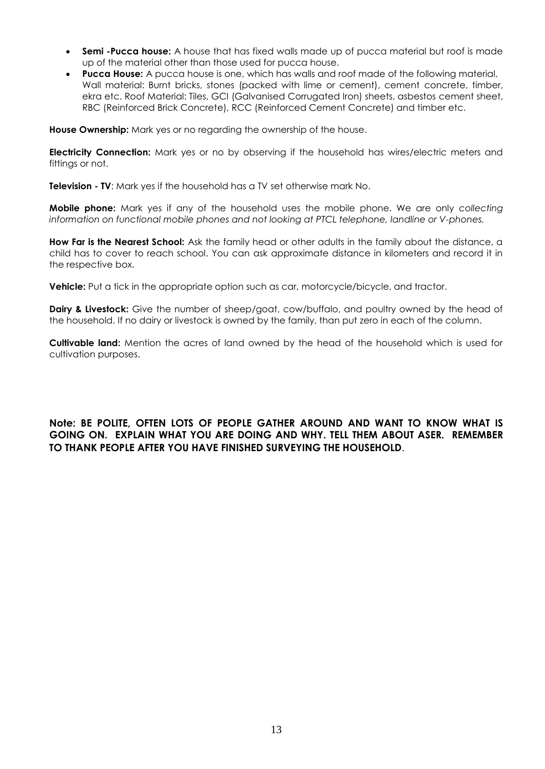- **Semi -Pucca house:** A house that has fixed walls made up of pucca material but roof is made up of the material other than those used for pucca house.
- **Pucca House:** A pucca house is one, which has walls and roof made of the following material. Wall material: Burnt bricks, stones (packed with lime or cement), cement concrete, timber, ekra etc. Roof Material: Tiles, GCI (Galvanised Corrugated Iron) sheets, asbestos cement sheet, RBC (Reinforced Brick Concrete), RCC (Reinforced Cement Concrete) and timber etc.

**House Ownership:** Mark yes or no regarding the ownership of the house.

**Electricity Connection:** Mark yes or no by observing if the household has wires/electric meters and fittings or not.

**Television - TV**: Mark yes if the household has a TV set otherwise mark No.

**Mobile phone:** Mark yes if any of the household uses the mobile phone. We are only *collecting information on functional mobile phones and not looking at PTCL telephone, landline or V-phones.*

**How Far is the Nearest School:** Ask the family head or other adults in the family about the distance, a child has to cover to reach school. You can ask approximate distance in kilometers and record it in the respective box.

**Vehicle:** Put a tick in the appropriate option such as car, motorcycle/bicycle, and tractor.

**Dairy & Livestock:** Give the number of sheep/goat, cow/buffalo, and poultry owned by the head of the household. If no dairy or livestock is owned by the family, than put zero in each of the column.

**Cultivable land:** Mention the acres of land owned by the head of the household which is used for cultivation purposes.

## **Note: BE POLITE, OFTEN LOTS OF PEOPLE GATHER AROUND AND WANT TO KNOW WHAT IS GOING ON. EXPLAIN WHAT YOU ARE DOING AND WHY. TELL THEM ABOUT ASER. REMEMBER TO THANK PEOPLE AFTER YOU HAVE FINISHED SURVEYING THE HOUSEHOLD**.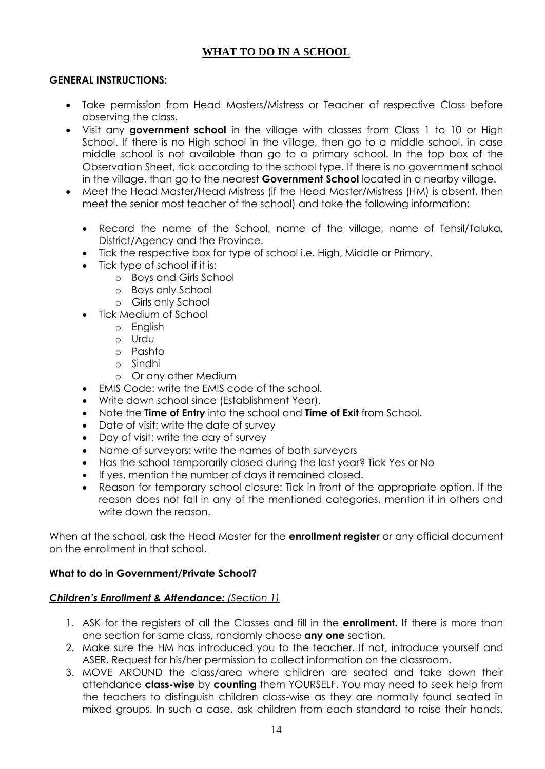# **WHAT TO DO IN A SCHOOL**

## **GENERAL INSTRUCTIONS:**

- Take permission from Head Masters/Mistress or Teacher of respective Class before observing the class.
- Visit any **government school** in the village with classes from Class 1 to 10 or High School. If there is no High school in the village, then go to a middle school, in case middle school is not available than go to a primary school. In the top box of the Observation Sheet, tick according to the school type. If there is no government school in the village, than go to the nearest **Government School** located in a nearby village.
- Meet the Head Master/Head Mistress (if the Head Master/Mistress (HM) is absent, then meet the senior most teacher of the school) and take the following information:
	- Record the name of the School, name of the village, name of Tehsil/Taluka, District/Agency and the Province.
	- Tick the respective box for type of school i.e. High, Middle or Primary.
	- Tick type of school if it is:
		- o Boys and Girls School
		- o Boys only School
		- o Girls only School
	- Tick Medium of School
		- o English
		- o Urdu
		- o Pashto
		- o Sindhi
		- o Or any other Medium
	- EMIS Code: write the EMIS code of the school.
	- Write down school since (Establishment Year).
	- Note the **Time of Entry** into the school and **Time of Exit** from School.
	- Date of visit: write the date of survey
	- Day of visit: write the day of survey
	- Name of surveyors: write the names of both surveyors
	- Has the school temporarily closed during the last year? Tick Yes or No
	- If yes, mention the number of days it remained closed.
	- Reason for temporary school closure: Tick in front of the appropriate option. If the reason does not fall in any of the mentioned categories, mention it in others and write down the reason.

When at the school, ask the Head Master for the **enrollment register** or any official document on the enrollment in that school.

### **What to do in Government/Private School?**

### *Children's Enrollment & Attendance: (Section 1)*

- 1. ASK for the registers of all the Classes and fill in the **enrollment.** If there is more than one section for same class, randomly choose **any one** section.
- 2. Make sure the HM has introduced you to the teacher. If not, introduce yourself and ASER. Request for his/her permission to collect information on the classroom.
- 3. MOVE AROUND the class/area where children are seated and take down their attendance **class-wise** by **counting** them YOURSELF. You may need to seek help from the teachers to distinguish children class-wise as they are normally found seated in mixed groups. In such a case, ask children from each standard to raise their hands.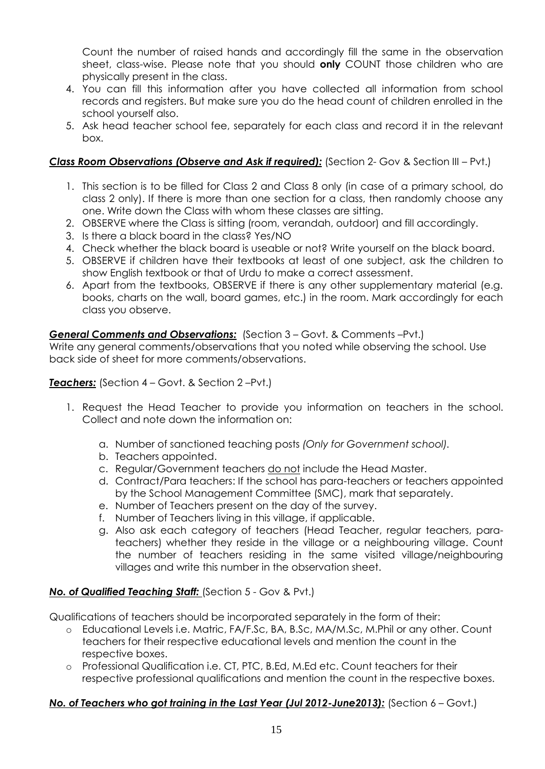Count the number of raised hands and accordingly fill the same in the observation sheet, class-wise. Please note that you should **only** COUNT those children who are physically present in the class.

- 4. You can fill this information after you have collected all information from school records and registers. But make sure you do the head count of children enrolled in the school yourself also.
- 5. Ask head teacher school fee, separately for each class and record it in the relevant box.

## *Class Room Observations (Observe and Ask if required):* (Section 2- Gov & Section III – Pvt.)

- 1. This section is to be filled for Class 2 and Class 8 only (in case of a primary school, do class 2 only). If there is more than one section for a class, then randomly choose any one. Write down the Class with whom these classes are sitting.
- 2. OBSERVE where the Class is sitting (room, verandah, outdoor) and fill accordingly.
- 3. Is there a black board in the class? Yes/NO
- 4. Check whether the black board is useable or not? Write yourself on the black board.
- 5. OBSERVE if children have their textbooks at least of one subject, ask the children to show English textbook or that of Urdu to make a correct assessment.
- 6. Apart from the textbooks, OBSERVE if there is any other supplementary material (e.g. books, charts on the wall, board games, etc.) in the room. Mark accordingly for each class you observe.

## *General Comments and Observations:* (Section 3 – Govt. & Comments –Pvt.)

Write any general comments/observations that you noted while observing the school. Use back side of sheet for more comments/observations.

## *Teachers:* (Section 4 – Govt. & Section 2 –Pvt.)

- 1. Request the Head Teacher to provide you information on teachers in the school. Collect and note down the information on:
	- a. Number of sanctioned teaching posts *(Only for Government school).*
	- b. Teachers appointed.
	- c. Regular/Government teachers do not include the Head Master.
	- d. Contract/Para teachers: If the school has para-teachers or teachers appointed by the School Management Committee (SMC), mark that separately.
	- e. Number of Teachers present on the day of the survey.
	- f. Number of Teachers living in this village, if applicable.
	- g. Also ask each category of teachers (Head Teacher, regular teachers, parateachers) whether they reside in the village or a neighbouring village. Count the number of teachers residing in the same visited village/neighbouring villages and write this number in the observation sheet.

# *No. of Qualified Teaching Staff:* (Section 5 - Gov & Pvt.)

Qualifications of teachers should be incorporated separately in the form of their:

- o Educational Levels i.e. Matric, FA/F.Sc, BA, B.Sc, MA/M.Sc, M.Phil or any other. Count teachers for their respective educational levels and mention the count in the respective boxes.
- o Professional Qualification i.e. CT, PTC, B.Ed, M.Ed etc. Count teachers for their respective professional qualifications and mention the count in the respective boxes.

# *No. of Teachers who got training in the Last Year (Jul 2012-June2013):* (Section 6 – Govt.)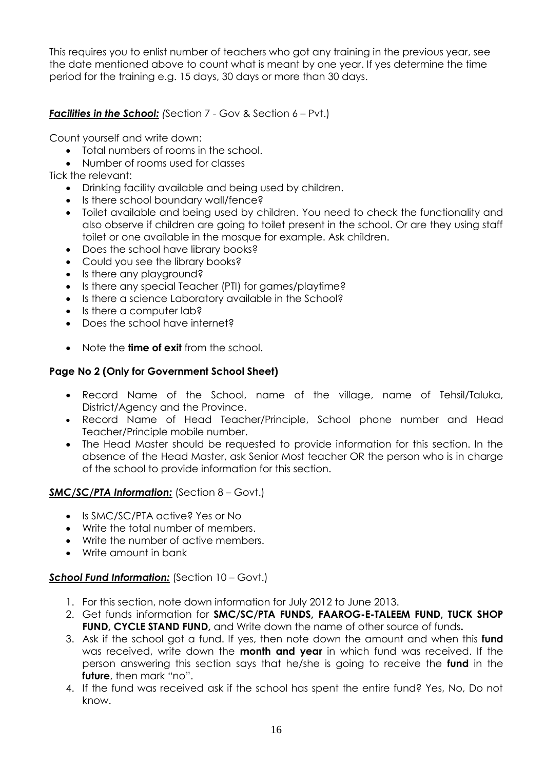This requires you to enlist number of teachers who got any training in the previous year, see the date mentioned above to count what is meant by one year. If yes determine the time period for the training e.g. 15 days, 30 days or more than 30 days.

# **Facilities in the School:** *(Section 7 - Gov & Section 6 – Pvt.)*

Count yourself and write down:

- Total numbers of rooms in the school.
- Number of rooms used for classes

Tick the relevant:

- Drinking facility available and being used by children.
- Is there school boundary wall/fence?
- Toilet available and being used by children. You need to check the functionality and also observe if children are going to toilet present in the school. Or are they using staff toilet or one available in the mosque for example. Ask children.
- Does the school have library books?
- Could you see the library books?
- Is there any playground?
- Is there any special Teacher (PTI) for games/playtime?
- Is there a science Laboratory available in the School?
- Is there a computer lab?
- Does the school have internet?
- Note the **time of exit** from the school.

## **Page No 2 (Only for Government School Sheet)**

- Record Name of the School, name of the village, name of Tehsil/Taluka, District/Agency and the Province.
- Record Name of Head Teacher/Principle, School phone number and Head Teacher/Principle mobile number.
- The Head Master should be requested to provide information for this section. In the absence of the Head Master, ask Senior Most teacher OR the person who is in charge of the school to provide information for this section.

## *SMC/SC/PTA Information:* (Section 8 – Govt.)

- Is SMC/SC/PTA active? Yes or No
- Write the total number of members.
- Write the number of active members.
- Write amount in bank

## *School Fund Information:* (Section 10 – Govt.)

- 1. For this section, note down information for July 2012 to June 2013.
- 2. Get funds information for **SMC/SC/PTA FUNDS, FAAROG-E-TALEEM FUND, TUCK SHOP FUND, CYCLE STAND FUND,** and Write down the name of other source of funds**.**
- 3. Ask if the school got a fund. If yes, then note down the amount and when this **fund** was received, write down the **month and year** in which fund was received. If the person answering this section says that he/she is going to receive the **fund** in the **future**, then mark "no".
- 4. If the fund was received ask if the school has spent the entire fund? Yes, No, Do not know.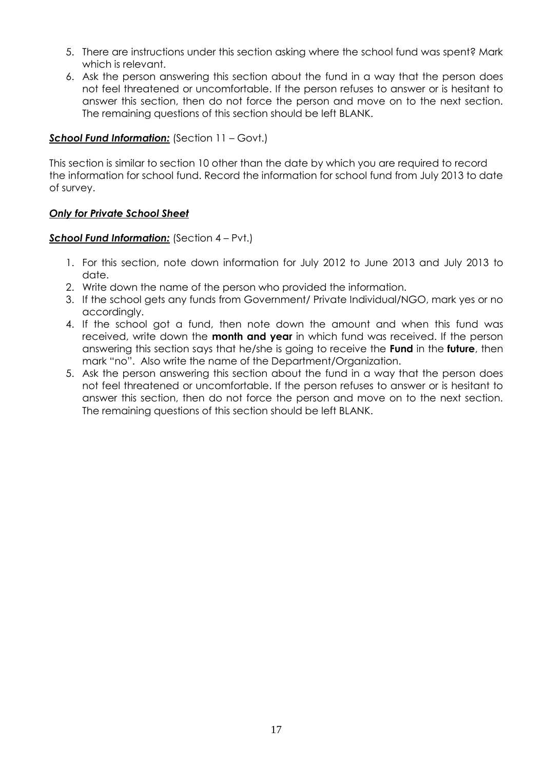- 5. There are instructions under this section asking where the school fund was spent? Mark which is relevant.
- 6. Ask the person answering this section about the fund in a way that the person does not feel threatened or uncomfortable. If the person refuses to answer or is hesitant to answer this section, then do not force the person and move on to the next section. The remaining questions of this section should be left BLANK.

## *School Fund Information:* (Section 11 – Govt.)

This section is similar to section 10 other than the date by which you are required to record the information for school fund. Record the information for school fund from July 2013 to date of survey.

## *Only for Private School Sheet*

## *School Fund Information:* (Section 4 – Pvt.)

- 1. For this section, note down information for July 2012 to June 2013 and July 2013 to date.
- 2. Write down the name of the person who provided the information.
- 3. If the school gets any funds from Government/ Private Individual/NGO, mark yes or no accordingly.
- 4. If the school got a fund, then note down the amount and when this fund was received, write down the **month and year** in which fund was received. If the person answering this section says that he/she is going to receive the **Fund** in the **future**, then mark "no". Also write the name of the Department/Organization.
- 5. Ask the person answering this section about the fund in a way that the person does not feel threatened or uncomfortable. If the person refuses to answer or is hesitant to answer this section, then do not force the person and move on to the next section. The remaining questions of this section should be left BLANK.